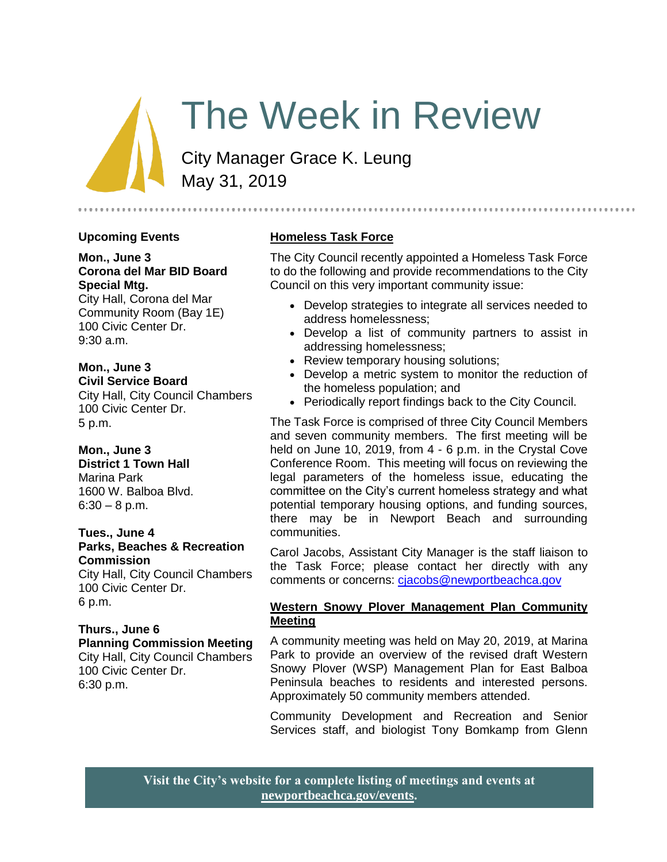# The Week in Review

City Manager Grace K. Leung May 31, 2019

## **Upcoming Events**

**Mon., June 3 Corona del Mar BID Board Special Mtg.** City Hall, Corona del Mar

Community Room (Bay 1E) 100 Civic Center Dr. 9:30 a.m.

**Mon., June 3 Civil Service Board** City Hall, City Council Chambers

100 Civic Center Dr. 5 p.m.

**Mon., June 3 District 1 Town Hall** Marina Park 1600 W. Balboa Blvd.  $6:30 - 8$  p.m.

#### **Tues., June 4 Parks, Beaches & Recreation Commission**

City Hall, City Council Chambers 100 Civic Center Dr. 6 p.m.

#### **Thurs., June 6 Planning Commission Meeting** City Hall, City Council Chambers 100 Civic Center Dr. 6:30 p.m.

## **Homeless Task Force**

The City Council recently appointed a Homeless Task Force to do the following and provide recommendations to the City Council on this very important community issue:

 Develop strategies to integrate all services needed to address homelessness;

- Develop a list of community partners to assist in addressing homelessness;
- Review temporary housing solutions;
- Develop a metric system to monitor the reduction of the homeless population; and
- Periodically report findings back to the City Council.

The Task Force is comprised of three City Council Members and seven community members. The first meeting will be held on June 10, 2019, from 4 - 6 p.m. in the Crystal Cove Conference Room. This meeting will focus on reviewing the legal parameters of the homeless issue, educating the committee on the City's current homeless strategy and what potential temporary housing options, and funding sources, there may be in Newport Beach and surrounding communities.

Carol Jacobs, Assistant City Manager is the staff liaison to the Task Force; please contact her directly with any comments or concerns: [cjacobs@newportbeachca.gov](file:///C:/Users/gleung/AppData/Local/Microsoft/Windows/Temporary%20Internet%20Files/Content.Outlook/JWH28NZL/cjacobs@newportbeachca.gov)

## **Western Snowy Plover Management Plan Community Meeting**

A community meeting was held on May 20, 2019, at Marina Park to provide an overview of the revised draft Western Snowy Plover (WSP) Management Plan for East Balboa Peninsula beaches to residents and interested persons. Approximately 50 community members attended.

Community Development and Recreation and Senior Services staff, and biologist Tony Bomkamp from Glenn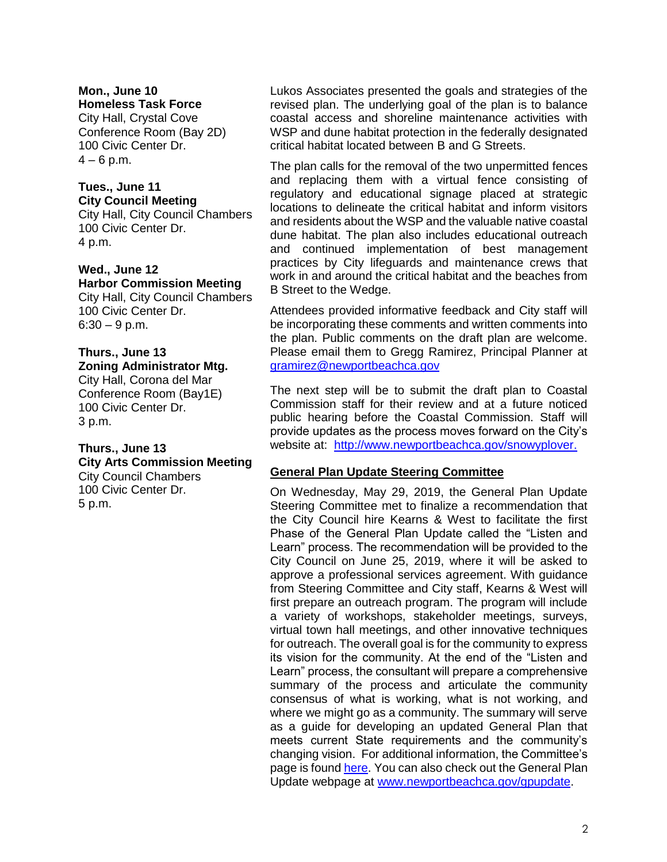# **Mon., June 10**

**Homeless Task Force** City Hall, Crystal Cove Conference Room (Bay 2D) 100 Civic Center Dr.  $4 - 6$  p.m.

## **Tues., June 11 City Council Meeting**

City Hall, City Council Chambers 100 Civic Center Dr. 4 p.m.

#### **Wed., June 12 Harbor Commission Meeting**

City Hall, City Council Chambers 100 Civic Center Dr.  $6:30 - 9$  p.m.

# **Thurs., June 13**

**Zoning Administrator Mtg.** City Hall, Corona del Mar Conference Room (Bay1E) 100 Civic Center Dr. 3 p.m.

#### **Thurs., June 13 City Arts Commission Meeting** City Council Chambers 100 Civic Center Dr. 5 p.m.

Lukos Associates presented the goals and strategies of the revised plan. The underlying goal of the plan is to balance coastal access and shoreline maintenance activities with WSP and dune habitat protection in the federally designated critical habitat located between B and G Streets.

The plan calls for the removal of the two unpermitted fences and replacing them with a virtual fence consisting of regulatory and educational signage placed at strategic locations to delineate the critical habitat and inform visitors and residents about the WSP and the valuable native coastal dune habitat. The plan also includes educational outreach and continued implementation of best management practices by City lifeguards and maintenance crews that work in and around the critical habitat and the beaches from B Street to the Wedge.

Attendees provided informative feedback and City staff will be incorporating these comments and written comments into the plan. Public comments on the draft plan are welcome. Please email them to Gregg Ramirez, Principal Planner at [gramirez@newportbeachca.gov](file:///C:/Users/syamada/AppData/Local/Microsoft/Windows/Temporary%20Internet%20Files/Content.Outlook/741B3M6Q/gramirez@newportbeachca.gov)

The next step will be to submit the draft plan to Coastal Commission staff for their review and at a future noticed public hearing before the Coastal Commission. Staff will provide updates as the process moves forward on the City's website at: [http://www.newportbeachca.gov/snowyplover.](http://www.newportbeachca.gov/snowyplover)

# **General Plan Update Steering Committee**

On Wednesday, May 29, 2019, the General Plan Update Steering Committee met to finalize a recommendation that the City Council hire Kearns & West to facilitate the first Phase of the General Plan Update called the "Listen and Learn" process. The recommendation will be provided to the City Council on June 25, 2019, where it will be asked to approve a professional services agreement. With guidance from Steering Committee and City staff, Kearns & West will first prepare an outreach program. The program will include a variety of workshops, stakeholder meetings, surveys, virtual town hall meetings, and other innovative techniques for outreach. The overall goal is for the community to express its vision for the community. At the end of the "Listen and Learn" process, the consultant will prepare a comprehensive summary of the process and articulate the community consensus of what is working, what is not working, and where we might go as a community. The summary will serve as a guide for developing an updated General Plan that meets current State requirements and the community's changing vision. For additional information, the Committee's page is foun[d here.](https://www.newportbeachca.gov/government/departments/community-development/planning-division/general-plan-codes-and-regulations/general-plan-update/general-plan-update-steering-committee) You can also check out the General Plan Update webpage at [www.newportbeachca.gov/gpupdate.](www.newportbeachca.gov/gpupdate)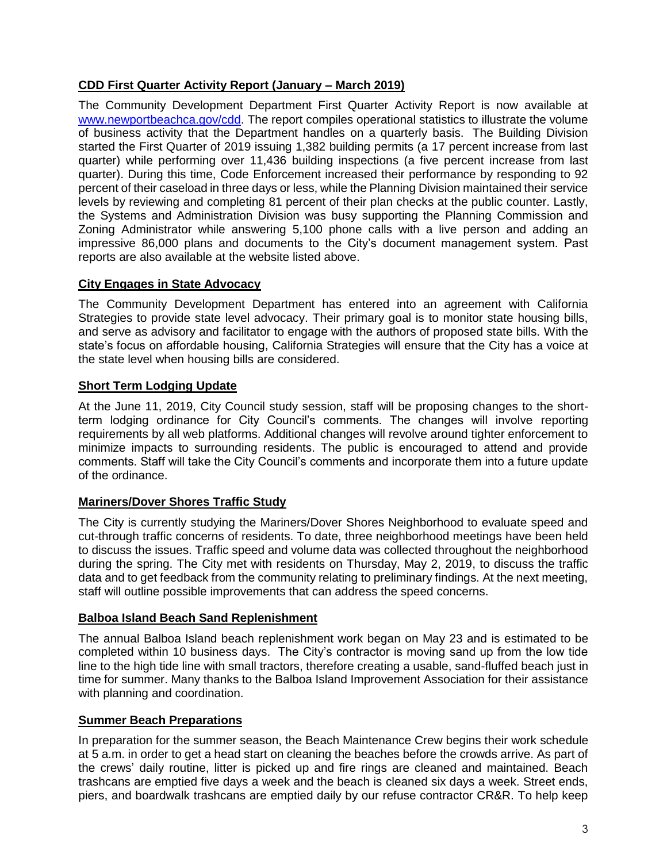# **CDD First Quarter Activity Report (January – March 2019)**

The Community Development Department First Quarter Activity Report is now available at [www.newportbeachca.gov/cdd.](http://www.newportbeachca.gov/cdd) The report compiles operational statistics to illustrate the volume of business activity that the Department handles on a quarterly basis. The Building Division started the First Quarter of 2019 issuing 1,382 building permits (a 17 percent increase from last quarter) while performing over 11,436 building inspections (a five percent increase from last quarter). During this time, Code Enforcement increased their performance by responding to 92 percent of their caseload in three days or less, while the Planning Division maintained their service levels by reviewing and completing 81 percent of their plan checks at the public counter. Lastly, the Systems and Administration Division was busy supporting the Planning Commission and Zoning Administrator while answering 5,100 phone calls with a live person and adding an impressive 86,000 plans and documents to the City's document management system. Past reports are also available at the website listed above.

# **City Engages in State Advocacy**

The Community Development Department has entered into an agreement with California Strategies to provide state level advocacy. Their primary goal is to monitor state housing bills, and serve as advisory and facilitator to engage with the authors of proposed state bills. With the state's focus on affordable housing, California Strategies will ensure that the City has a voice at the state level when housing bills are considered.

# **Short Term Lodging Update**

At the June 11, 2019, City Council study session, staff will be proposing changes to the shortterm lodging ordinance for City Council's comments. The changes will involve reporting requirements by all web platforms. Additional changes will revolve around tighter enforcement to minimize impacts to surrounding residents. The public is encouraged to attend and provide comments. Staff will take the City Council's comments and incorporate them into a future update of the ordinance.

## **Mariners/Dover Shores Traffic Study**

The City is currently studying the Mariners/Dover Shores Neighborhood to evaluate speed and cut-through traffic concerns of residents. To date, three neighborhood meetings have been held to discuss the issues. Traffic speed and volume data was collected throughout the neighborhood during the spring. The City met with residents on Thursday, May 2, 2019, to discuss the traffic data and to get feedback from the community relating to preliminary findings. At the next meeting, staff will outline possible improvements that can address the speed concerns.

## **Balboa Island Beach Sand Replenishment**

The annual Balboa Island beach replenishment work began on May 23 and is estimated to be completed within 10 business days. The City's contractor is moving sand up from the low tide line to the high tide line with small tractors, therefore creating a usable, sand-fluffed beach just in time for summer. Many thanks to the Balboa Island Improvement Association for their assistance with planning and coordination.

## **Summer Beach Preparations**

In preparation for the summer season, the Beach Maintenance Crew begins their work schedule at 5 a.m. in order to get a head start on cleaning the beaches before the crowds arrive. As part of the crews' daily routine, litter is picked up and fire rings are cleaned and maintained. Beach trashcans are emptied five days a week and the beach is cleaned six days a week. Street ends, piers, and boardwalk trashcans are emptied daily by our refuse contractor CR&R. To help keep